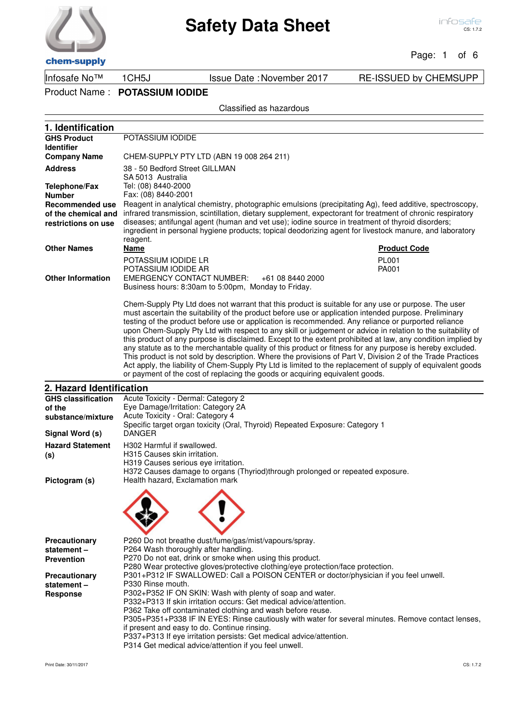Page: 1 of 6

chem-supply

Product Name : **POTASSIUM IODIDE**

### Classified as hazardous

| 1. Identification                     |                                                                                                                                                                                                                                                                                                                                                                                                                                                                                                                                                                                                                                                                                                                                                                                                                                                                                                                                                                             |
|---------------------------------------|-----------------------------------------------------------------------------------------------------------------------------------------------------------------------------------------------------------------------------------------------------------------------------------------------------------------------------------------------------------------------------------------------------------------------------------------------------------------------------------------------------------------------------------------------------------------------------------------------------------------------------------------------------------------------------------------------------------------------------------------------------------------------------------------------------------------------------------------------------------------------------------------------------------------------------------------------------------------------------|
| <b>GHS Product</b>                    | POTASSIUM IODIDE                                                                                                                                                                                                                                                                                                                                                                                                                                                                                                                                                                                                                                                                                                                                                                                                                                                                                                                                                            |
| <b>Identifier</b>                     |                                                                                                                                                                                                                                                                                                                                                                                                                                                                                                                                                                                                                                                                                                                                                                                                                                                                                                                                                                             |
| <b>Company Name</b>                   | CHEM-SUPPLY PTY LTD (ABN 19 008 264 211)                                                                                                                                                                                                                                                                                                                                                                                                                                                                                                                                                                                                                                                                                                                                                                                                                                                                                                                                    |
| <b>Address</b>                        | 38 - 50 Bedford Street GILLMAN                                                                                                                                                                                                                                                                                                                                                                                                                                                                                                                                                                                                                                                                                                                                                                                                                                                                                                                                              |
|                                       | SA 5013 Australia<br>Tel: (08) 8440-2000                                                                                                                                                                                                                                                                                                                                                                                                                                                                                                                                                                                                                                                                                                                                                                                                                                                                                                                                    |
| <b>Telephone/Fax</b><br><b>Number</b> | Fax: (08) 8440-2001                                                                                                                                                                                                                                                                                                                                                                                                                                                                                                                                                                                                                                                                                                                                                                                                                                                                                                                                                         |
| <b>Recommended use</b>                | Reagent in analytical chemistry, photographic emulsions (precipitating Ag), feed additive, spectroscopy,                                                                                                                                                                                                                                                                                                                                                                                                                                                                                                                                                                                                                                                                                                                                                                                                                                                                    |
| of the chemical and                   | infrared transmission, scintillation, dietary supplement, expectorant for treatment of chronic respiratory                                                                                                                                                                                                                                                                                                                                                                                                                                                                                                                                                                                                                                                                                                                                                                                                                                                                  |
| restrictions on use                   | diseases; antifungal agent (human and vet use); iodine source in treatment of thyroid disorders;<br>ingredient in personal hygiene products; topical deodorizing agent for livestock manure, and laboratory                                                                                                                                                                                                                                                                                                                                                                                                                                                                                                                                                                                                                                                                                                                                                                 |
|                                       | reagent.                                                                                                                                                                                                                                                                                                                                                                                                                                                                                                                                                                                                                                                                                                                                                                                                                                                                                                                                                                    |
| <b>Other Names</b>                    | Name<br><b>Product Code</b>                                                                                                                                                                                                                                                                                                                                                                                                                                                                                                                                                                                                                                                                                                                                                                                                                                                                                                                                                 |
|                                       | POTASSIUM IODIDE LR<br><b>PL001</b>                                                                                                                                                                                                                                                                                                                                                                                                                                                                                                                                                                                                                                                                                                                                                                                                                                                                                                                                         |
| <b>Other Information</b>              | POTASSIUM IODIDE AR<br>PA001<br><b>EMERGENCY CONTACT NUMBER:</b><br>+61 08 8440 2000                                                                                                                                                                                                                                                                                                                                                                                                                                                                                                                                                                                                                                                                                                                                                                                                                                                                                        |
|                                       | Business hours: 8:30am to 5:00pm, Monday to Friday.                                                                                                                                                                                                                                                                                                                                                                                                                                                                                                                                                                                                                                                                                                                                                                                                                                                                                                                         |
|                                       |                                                                                                                                                                                                                                                                                                                                                                                                                                                                                                                                                                                                                                                                                                                                                                                                                                                                                                                                                                             |
|                                       | Chem-Supply Pty Ltd does not warrant that this product is suitable for any use or purpose. The user<br>must ascertain the suitability of the product before use or application intended purpose. Preliminary<br>testing of the product before use or application is recommended. Any reliance or purported reliance<br>upon Chem-Supply Pty Ltd with respect to any skill or judgement or advice in relation to the suitability of<br>this product of any purpose is disclaimed. Except to the extent prohibited at law, any condition implied by<br>any statute as to the merchantable quality of this product or fitness for any purpose is hereby excluded.<br>This product is not sold by description. Where the provisions of Part V, Division 2 of the Trade Practices<br>Act apply, the liability of Chem-Supply Pty Ltd is limited to the replacement of supply of equivalent goods<br>or payment of the cost of replacing the goods or acquiring equivalent goods. |
| 2. Hazard Identification              |                                                                                                                                                                                                                                                                                                                                                                                                                                                                                                                                                                                                                                                                                                                                                                                                                                                                                                                                                                             |
| <b>GHS classification</b>             | Acute Toxicity - Dermal: Category 2                                                                                                                                                                                                                                                                                                                                                                                                                                                                                                                                                                                                                                                                                                                                                                                                                                                                                                                                         |
| of the<br>substance/mixture           | Eye Damage/Irritation: Category 2A<br>Acute Toxicity - Oral: Category 4                                                                                                                                                                                                                                                                                                                                                                                                                                                                                                                                                                                                                                                                                                                                                                                                                                                                                                     |
|                                       | Specific target organ toxicity (Oral, Thyroid) Repeated Exposure: Category 1                                                                                                                                                                                                                                                                                                                                                                                                                                                                                                                                                                                                                                                                                                                                                                                                                                                                                                |
| Signal Word (s)                       | <b>DANGER</b>                                                                                                                                                                                                                                                                                                                                                                                                                                                                                                                                                                                                                                                                                                                                                                                                                                                                                                                                                               |
| <b>Hazard Statement</b>               | H302 Harmful if swallowed.                                                                                                                                                                                                                                                                                                                                                                                                                                                                                                                                                                                                                                                                                                                                                                                                                                                                                                                                                  |
| (s)                                   | H315 Causes skin irritation.                                                                                                                                                                                                                                                                                                                                                                                                                                                                                                                                                                                                                                                                                                                                                                                                                                                                                                                                                |
|                                       | H319 Causes serious eye irritation.                                                                                                                                                                                                                                                                                                                                                                                                                                                                                                                                                                                                                                                                                                                                                                                                                                                                                                                                         |
| Pictogram (s)                         | H372 Causes damage to organs (Thyriod)through prolonged or repeated exposure.<br>Health hazard, Exclamation mark                                                                                                                                                                                                                                                                                                                                                                                                                                                                                                                                                                                                                                                                                                                                                                                                                                                            |
|                                       |                                                                                                                                                                                                                                                                                                                                                                                                                                                                                                                                                                                                                                                                                                                                                                                                                                                                                                                                                                             |
|                                       |                                                                                                                                                                                                                                                                                                                                                                                                                                                                                                                                                                                                                                                                                                                                                                                                                                                                                                                                                                             |
| Precautionary                         | P260 Do not breathe dust/fume/gas/mist/vapours/spray.                                                                                                                                                                                                                                                                                                                                                                                                                                                                                                                                                                                                                                                                                                                                                                                                                                                                                                                       |
| statement-                            | P264 Wash thoroughly after handling.                                                                                                                                                                                                                                                                                                                                                                                                                                                                                                                                                                                                                                                                                                                                                                                                                                                                                                                                        |
| <b>Prevention</b>                     | P270 Do not eat, drink or smoke when using this product.<br>P280 Wear protective gloves/protective clothing/eye protection/face protection.                                                                                                                                                                                                                                                                                                                                                                                                                                                                                                                                                                                                                                                                                                                                                                                                                                 |
| Precautionary                         | P301+P312 IF SWALLOWED: Call a POISON CENTER or doctor/physician if you feel unwell.                                                                                                                                                                                                                                                                                                                                                                                                                                                                                                                                                                                                                                                                                                                                                                                                                                                                                        |
| statement-                            | P330 Rinse mouth.                                                                                                                                                                                                                                                                                                                                                                                                                                                                                                                                                                                                                                                                                                                                                                                                                                                                                                                                                           |
| <b>Response</b>                       | P302+P352 IF ON SKIN: Wash with plenty of soap and water.                                                                                                                                                                                                                                                                                                                                                                                                                                                                                                                                                                                                                                                                                                                                                                                                                                                                                                                   |
|                                       | P332+P313 If skin irritation occurs: Get medical advice/attention.                                                                                                                                                                                                                                                                                                                                                                                                                                                                                                                                                                                                                                                                                                                                                                                                                                                                                                          |
|                                       | P362 Take off contaminated clothing and wash before reuse.<br>P305+P351+P338 IF IN EYES: Rinse cautiously with water for several minutes. Remove contact lenses,                                                                                                                                                                                                                                                                                                                                                                                                                                                                                                                                                                                                                                                                                                                                                                                                            |
|                                       | if present and easy to do. Continue rinsing.                                                                                                                                                                                                                                                                                                                                                                                                                                                                                                                                                                                                                                                                                                                                                                                                                                                                                                                                |
|                                       | P337+P313 If eye irritation persists: Get medical advice/attention.                                                                                                                                                                                                                                                                                                                                                                                                                                                                                                                                                                                                                                                                                                                                                                                                                                                                                                         |
|                                       | P314 Get medical advice/attention if you feel unwell.                                                                                                                                                                                                                                                                                                                                                                                                                                                                                                                                                                                                                                                                                                                                                                                                                                                                                                                       |
|                                       |                                                                                                                                                                                                                                                                                                                                                                                                                                                                                                                                                                                                                                                                                                                                                                                                                                                                                                                                                                             |





Infosafe No™ 1CH5J Issue Date :November 2017 RE-ISSUED by CHEMSUPP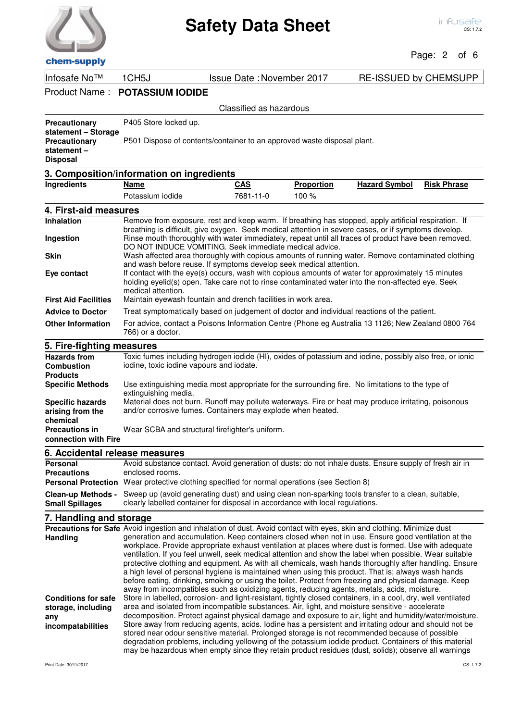**7. Handling and storage**

Classified as hazardous

Page: 2 of 6

## Product Name : **POTASSIUM IODIDE**

| <b>Precautionary</b> | P405 Store locked up. |
|----------------------|-----------------------|
| statement – Storage  |                       |

**Precautionary P501 Dispose of contents/container to an approved waste disposal plant.** 

| statement –     |  |
|-----------------|--|
| <b>Disposal</b> |  |

#### **3. Composition/information on ingredients Ingredients Name CAS Proportion Hazard Symbol Risk Phrase**

|                                                         | Potassium iodide                                                                                    | 7681-11-0 | 100 % |                                                                                                                                                                                                              |
|---------------------------------------------------------|-----------------------------------------------------------------------------------------------------|-----------|-------|--------------------------------------------------------------------------------------------------------------------------------------------------------------------------------------------------------------|
| 4. First-aid measures                                   |                                                                                                     |           |       |                                                                                                                                                                                                              |
| Inhalation                                              |                                                                                                     |           |       | Remove from exposure, rest and keep warm. If breathing has stopped, apply artificial respiration. If<br>breathing is difficult, give oxygen. Seek medical attention in severe cases, or if symptoms develop. |
| Ingestion                                               | DO NOT INDUCE VOMITING. Seek immediate medical advice.                                              |           |       | Rinse mouth thoroughly with water immediately, repeat until all traces of product have been removed.                                                                                                         |
| <b>Skin</b>                                             | and wash before reuse. If symptoms develop seek medical attention.                                  |           |       | Wash affected area thoroughly with copious amounts of running water. Remove contaminated clothing                                                                                                            |
| Eye contact                                             | medical attention.                                                                                  |           |       | If contact with the eye(s) occurs, wash with copious amounts of water for approximately 15 minutes<br>holding eyelid(s) open. Take care not to rinse contaminated water into the non-affected eye. Seek      |
| <b>First Aid Facilities</b>                             | Maintain eyewash fountain and drench facilities in work area.                                       |           |       |                                                                                                                                                                                                              |
| <b>Advice to Doctor</b>                                 | Treat symptomatically based on judgement of doctor and individual reactions of the patient.         |           |       |                                                                                                                                                                                                              |
| <b>Other Information</b>                                | 766) or a doctor.                                                                                   |           |       | For advice, contact a Poisons Information Centre (Phone eg Australia 13 1126; New Zealand 0800 764                                                                                                           |
| 5. Fire-fighting measures                               |                                                                                                     |           |       |                                                                                                                                                                                                              |
| <b>Hazards from</b><br><b>Combustion</b>                | iodine, toxic iodine vapours and iodate.                                                            |           |       | Toxic fumes including hydrogen iodide (HI), oxides of potassium and iodine, possibly also free, or ionic                                                                                                     |
| <b>Products</b>                                         |                                                                                                     |           |       |                                                                                                                                                                                                              |
| <b>Specific Methods</b>                                 | extinguishing media.                                                                                |           |       | Use extinguishing media most appropriate for the surrounding fire. No limitations to the type of                                                                                                             |
| <b>Specific hazards</b><br>arising from the<br>chemical | and/or corrosive fumes. Containers may explode when heated.                                         |           |       | Material does not burn. Runoff may pollute waterways. Fire or heat may produce irritating, poisonous                                                                                                         |
| <b>Precautions in</b><br>connection with Fire           | Wear SCBA and structural firefighter's uniform.                                                     |           |       |                                                                                                                                                                                                              |
| 6. Accidental release measures                          |                                                                                                     |           |       |                                                                                                                                                                                                              |
| Personal<br><b>Precautions</b>                          | enclosed rooms.                                                                                     |           |       | Avoid substance contact. Avoid generation of dusts: do not inhale dusts. Ensure supply of fresh air in                                                                                                       |
|                                                         | <b>Personal Protection</b> Wear protective clothing specified for normal operations (see Section 8) |           |       |                                                                                                                                                                                                              |
|                                                         |                                                                                                     |           |       | Clean-up Methods - Sweep up (avoid generating dust) and using clean non-sparking tools transfer to a clean, suitable,                                                                                        |

#### clearly labelled container for disposal in accordance with local regulations. **Small Spillages**

#### Precautions for Safe Avoid ingestion and inhalation of dust. Avoid contact with eyes, skin and clothing. Minimize dust generation and accumulation. Keep containers closed when not in use. Ensure good ventilation at the workplace. Provide appropriate exhaust ventilation at places where dust is formed. Use with adequate ventilation. If you feel unwell, seek medical attention and show the label when possible. Wear suitable protective clothing and equipment. As with all chemicals, wash hands thoroughly after handling. Ensure a high level of personal hygiene is maintained when using this product. That is; always wash hands before eating, drinking, smoking or using the toilet. Protect from freezing and physical damage. Keep away from incompatibles such as oxidizing agents, reducing agents, metals, acids, moisture. **Handling** Store in labelled, corrosion- and light-resistant, tightly closed containers, in a cool, dry, well ventilated area and isolated from incompatible substances. Air, light, and moisture sensitive - accelerate decomposition. Protect against physical damage and exposure to air, light and humidity/water/moisture. Store away from reducing agents, acids. Iodine has a persistent and irritating odour and should not be stored near odour sensitive material. Prolonged storage is not recommended because of possible degradation problems, including yellowing of the potassium iodide product. Containers of this material may be hazardous when empty since they retain product residues (dust, solids); observe all warnings **Conditions for safe storage, including any incompatabilities**



Infosafe No™ 1CH5J Issue Date :November 2017 RE-ISSUED by CHEMSUPP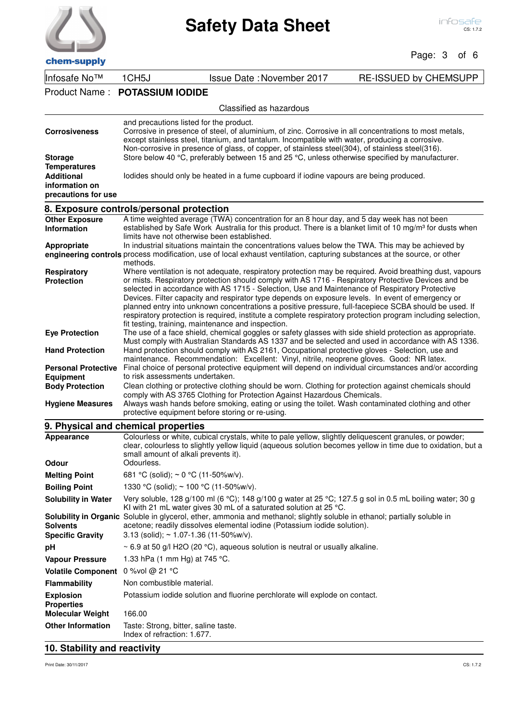| chem-supply |  |
|-------------|--|

### Page: 3 of 6

| VIIVIII JUMINI                           |                         |                                                                                                                                                                                                                                                                                                                                                                                                                                                                                                                                                                                           |                              |
|------------------------------------------|-------------------------|-------------------------------------------------------------------------------------------------------------------------------------------------------------------------------------------------------------------------------------------------------------------------------------------------------------------------------------------------------------------------------------------------------------------------------------------------------------------------------------------------------------------------------------------------------------------------------------------|------------------------------|
| Infosafe No™                             | 1CH <sub>5</sub> J      | <b>Issue Date: November 2017</b>                                                                                                                                                                                                                                                                                                                                                                                                                                                                                                                                                          | <b>RE-ISSUED by CHEMSUPP</b> |
| Product Name:                            | <b>POTASSIUM IODIDE</b> |                                                                                                                                                                                                                                                                                                                                                                                                                                                                                                                                                                                           |                              |
|                                          |                         | Classified as hazardous                                                                                                                                                                                                                                                                                                                                                                                                                                                                                                                                                                   |                              |
|                                          |                         | and precautions listed for the product.                                                                                                                                                                                                                                                                                                                                                                                                                                                                                                                                                   |                              |
| <b>Corrosiveness</b>                     |                         | Corrosive in presence of steel, of aluminium, of zinc. Corrosive in all concentrations to most metals,<br>except stainless steel, titanium, and tantalum. Incompatible with water, producing a corrosive.                                                                                                                                                                                                                                                                                                                                                                                 |                              |
|                                          |                         | Non-corrosive in presence of glass, of copper, of stainless steel(304), of stainless steel(316).                                                                                                                                                                                                                                                                                                                                                                                                                                                                                          |                              |
| <b>Storage</b>                           |                         | Store below 40 °C, preferably between 15 and 25 °C, unless otherwise specified by manufacturer.                                                                                                                                                                                                                                                                                                                                                                                                                                                                                           |                              |
| <b>Temperatures</b>                      |                         |                                                                                                                                                                                                                                                                                                                                                                                                                                                                                                                                                                                           |                              |
| <b>Additional</b>                        |                         | lodides should only be heated in a fume cupboard if iodine vapours are being produced.                                                                                                                                                                                                                                                                                                                                                                                                                                                                                                    |                              |
| information on<br>precautions for use    |                         |                                                                                                                                                                                                                                                                                                                                                                                                                                                                                                                                                                                           |                              |
|                                          |                         |                                                                                                                                                                                                                                                                                                                                                                                                                                                                                                                                                                                           |                              |
| 8. Exposure controls/personal protection |                         |                                                                                                                                                                                                                                                                                                                                                                                                                                                                                                                                                                                           |                              |
| <b>Other Exposure</b>                    |                         | A time weighted average (TWA) concentration for an 8 hour day, and 5 day week has not been                                                                                                                                                                                                                                                                                                                                                                                                                                                                                                |                              |
| <b>Information</b>                       |                         | established by Safe Work Australia for this product. There is a blanket limit of 10 mg/m <sup>3</sup> for dusts when                                                                                                                                                                                                                                                                                                                                                                                                                                                                      |                              |
|                                          |                         | limits have not otherwise been established.                                                                                                                                                                                                                                                                                                                                                                                                                                                                                                                                               |                              |
| Appropriate                              |                         | In industrial situations maintain the concentrations values below the TWA. This may be achieved by<br>engineering controls process modification, use of local exhaust ventilation, capturing substances at the source, or other                                                                                                                                                                                                                                                                                                                                                           |                              |
|                                          | methods.                |                                                                                                                                                                                                                                                                                                                                                                                                                                                                                                                                                                                           |                              |
| <b>Respiratory</b>                       |                         | Where ventilation is not adequate, respiratory protection may be required. Avoid breathing dust, vapours                                                                                                                                                                                                                                                                                                                                                                                                                                                                                  |                              |
| <b>Protection</b>                        |                         | or mists. Respiratory protection should comply with AS 1716 - Respiratory Protective Devices and be<br>selected in accordance with AS 1715 - Selection, Use and Maintenance of Respiratory Protective<br>Devices. Filter capacity and respirator type depends on exposure levels. In event of emergency or<br>planned entry into unknown concentrations a positive pressure, full-facepiece SCBA should be used. If<br>respiratory protection is required, institute a complete respiratory protection program including selection,<br>fit testing, training, maintenance and inspection. |                              |
| <b>Eye Protection</b>                    |                         | The use of a face shield, chemical goggles or safety glasses with side shield protection as appropriate.<br>Must comply with Australian Standards AS 1337 and be selected and used in accordance with AS 1336.                                                                                                                                                                                                                                                                                                                                                                            |                              |
| <b>Hand Protection</b>                   |                         | Hand protection should comply with AS 2161, Occupational protective gloves - Selection, use and<br>maintenance. Recommendation: Excellent: Vinyl, nitrile, neoprene gloves. Good: NR latex.                                                                                                                                                                                                                                                                                                                                                                                               |                              |
| <b>Personal Protective</b>               |                         | Final choice of personal protective equipment will depend on individual circumstances and/or according                                                                                                                                                                                                                                                                                                                                                                                                                                                                                    |                              |
| <b>Equipment</b>                         |                         | to risk assessments undertaken.                                                                                                                                                                                                                                                                                                                                                                                                                                                                                                                                                           |                              |
| <b>Body Protection</b>                   |                         | Clean clothing or protective clothing should be worn. Clothing for protection against chemicals should<br>comply with AS 3765 Clothing for Protection Against Hazardous Chemicals.                                                                                                                                                                                                                                                                                                                                                                                                        |                              |
| <b>Hygiene Measures</b>                  |                         | Always wash hands before smoking, eating or using the toilet. Wash contaminated clothing and other<br>protective equipment before storing or re-using.                                                                                                                                                                                                                                                                                                                                                                                                                                    |                              |
| 9. Physical and chemical properties      |                         |                                                                                                                                                                                                                                                                                                                                                                                                                                                                                                                                                                                           |                              |
| <b>Appearance</b>                        |                         | Colourless or white, cubical crystals, white to pale yellow, slightly deliquescent granules, or powder;<br>clear, colourless to slightly vellow liquid (aqueous solution becomes vellow in time due to ovidation, but a                                                                                                                                                                                                                                                                                                                                                                   |                              |

| Appearance                            | Colourless or white, cubical crystals, white to pale yellow, slightly deliquescent granules, or powder;<br>clear, colourless to slightly yellow liquid (aqueous solution becomes yellow in time due to oxidation, but a<br>small amount of alkali prevents it). |
|---------------------------------------|-----------------------------------------------------------------------------------------------------------------------------------------------------------------------------------------------------------------------------------------------------------------|
| <b>Odour</b>                          | Odourless.                                                                                                                                                                                                                                                      |
| <b>Melting Point</b>                  | 681 °C (solid); $\sim$ 0 °C (11-50%w/v).                                                                                                                                                                                                                        |
| <b>Boiling Point</b>                  | 1330 °C (solid); $\sim$ 100 °C (11-50%w/v).                                                                                                                                                                                                                     |
| <b>Solubility in Water</b>            | Very soluble, 128 g/100 ml (6 °C); 148 g/100 g water at 25 °C; 127.5 g sol in 0.5 mL boiling water; 30 g<br>KI with 21 mL water gives 30 mL of a saturated solution at 25 $^{\circ}$ C.                                                                         |
| <b>Solvents</b>                       | Solubility in Organic Soluble in glycerol, ether, ammonia and methanol; slightly soluble in ethanol; partially soluble in<br>acetone; readily dissolves elemental iodine (Potassium iodide solution).                                                           |
| <b>Specific Gravity</b>               | $3.13$ (solid); $\sim 1.07 - 1.36$ (11-50%w/v).                                                                                                                                                                                                                 |
| рH                                    | $\sim$ 6.9 at 50 g/l H2O (20 °C), aqueous solution is neutral or usually alkaline.                                                                                                                                                                              |
| <b>Vapour Pressure</b>                | 1.33 hPa (1 mm Hg) at 745 °C.                                                                                                                                                                                                                                   |
| <b>Volatile Component</b>             | 0 %vol @ 21 °C                                                                                                                                                                                                                                                  |
| <b>Flammability</b>                   | Non combustible material.                                                                                                                                                                                                                                       |
| <b>Explosion</b><br><b>Properties</b> | Potassium iodide solution and fluorine perchlorate will explode on contact.                                                                                                                                                                                     |
| <b>Molecular Weight</b>               | 166.00                                                                                                                                                                                                                                                          |
| <b>Other Information</b>              | Taste: Strong, bitter, saline taste.<br>Index of refraction: 1.677.                                                                                                                                                                                             |

## **10. Stability and reactivity**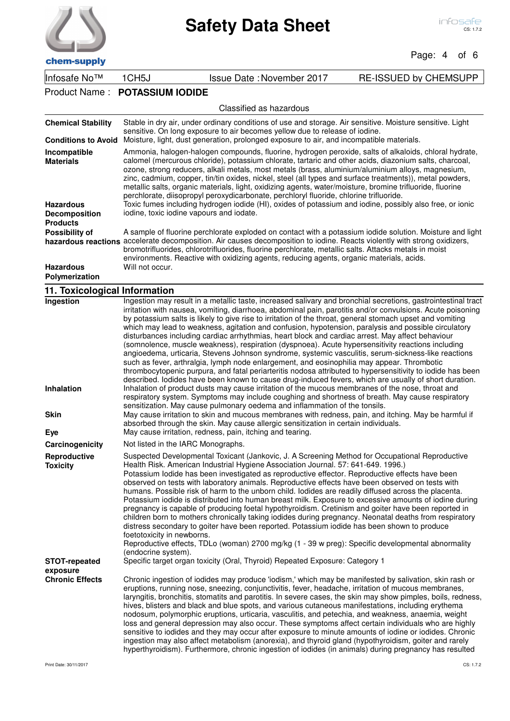

### Page: 4 of 6

| Infosafe No™                                                                                    | 1CH <sub>5</sub> J                       | <b>Issue Date: November 2017</b>                                                                                                                                                                                                                                                                                                                                                                                                                                                                                                                                                                                                                                                                                                                    | <b>RE-ISSUED by CHEMSUPP</b> |
|-------------------------------------------------------------------------------------------------|------------------------------------------|-----------------------------------------------------------------------------------------------------------------------------------------------------------------------------------------------------------------------------------------------------------------------------------------------------------------------------------------------------------------------------------------------------------------------------------------------------------------------------------------------------------------------------------------------------------------------------------------------------------------------------------------------------------------------------------------------------------------------------------------------------|------------------------------|
| Product Name:                                                                                   | <b>POTASSIUM IODIDE</b>                  |                                                                                                                                                                                                                                                                                                                                                                                                                                                                                                                                                                                                                                                                                                                                                     |                              |
|                                                                                                 |                                          | Classified as hazardous                                                                                                                                                                                                                                                                                                                                                                                                                                                                                                                                                                                                                                                                                                                             |                              |
| <b>Chemical Stability</b>                                                                       |                                          | Stable in dry air, under ordinary conditions of use and storage. Air sensitive. Moisture sensitive. Light<br>sensitive. On long exposure to air becomes yellow due to release of iodine.                                                                                                                                                                                                                                                                                                                                                                                                                                                                                                                                                            |                              |
| <b>Conditions to Avoid</b>                                                                      |                                          | Moisture, light, dust generation, prolonged exposure to air, and incompatible materials.                                                                                                                                                                                                                                                                                                                                                                                                                                                                                                                                                                                                                                                            |                              |
| Incompatible<br><b>Materials</b><br><b>Hazardous</b><br><b>Decomposition</b><br><b>Products</b> | iodine, toxic iodine vapours and iodate. | Ammonia, halogen-halogen compounds, fluorine, hydrogen peroxide, salts of alkaloids, chloral hydrate,<br>calomel (mercurous chloride), potassium chlorate, tartaric and other acids, diazonium salts, charcoal,<br>ozone, strong reducers, alkali metals, most metals (brass, aluminium/aluminium alloys, magnesium,<br>zinc, cadmium, copper, tin/tin oxides, nickel, steel (all types and surface treatments)), metal powders,<br>metallic salts, organic materials, light, oxidizing agents, water/moisture, bromine trifluoride, fluorine<br>perchlorate, diisopropyl peroxydicarbonate, perchloryl fluoride, chlorine trifluoride.<br>Toxic fumes including hydrogen iodide (HI), oxides of potassium and iodine, possibly also free, or ionic |                              |
| Possibility of<br><b>Hazardous</b><br><b>Polymerization</b>                                     | Will not occur.                          | A sample of fluorine perchlorate exploded on contact with a potassium iodide solution. Moisture and light<br>hazardous reactions accelerate decomposition. Air causes decomposition to iodine. Reacts violently with strong oxidizers,<br>bromotrifluorides, chlorotrifluorides, fluorine perchlorate, metallic salts. Attacks metals in moist<br>environments. Reactive with oxidizing agents, reducing agents, organic materials, acids.                                                                                                                                                                                                                                                                                                          |                              |

### **11. Toxicological Information**

| Ingestion<br>Inhalation          | Ingestion may result in a metallic taste, increased salivary and bronchial secretions, gastrointestinal tract<br>irritation with nausea, vomiting, diarrhoea, abdominal pain, parotitis and/or convulsions. Acute poisoning<br>by potassium salts is likely to give rise to irritation of the throat, general stomach upset and vomiting<br>which may lead to weakness, agitation and confusion, hypotension, paralysis and possible circulatory<br>disturbances including cardiac arrhythmias, heart block and cardiac arrest. May affect behaviour<br>(somnolence, muscle weakness), respiration (dyspnoea). Acute hypersensitivity reactions including<br>angioedema, urticaria, Stevens Johnson syndrome, systemic vasculitis, serum-sickness-like reactions<br>such as fever, arthralgia, lymph node enlargement, and eosinophilia may appear. Thrombotic<br>thrombocytopenic purpura, and fatal periarteritis nodosa attributed to hypersensitivity to iodide has been<br>described. Iodides have been known to cause drug-induced fevers, which are usually of short duration.<br>Inhalation of product dusts may cause irritation of the mucous membranes of the nose, throat and |
|----------------------------------|-------------------------------------------------------------------------------------------------------------------------------------------------------------------------------------------------------------------------------------------------------------------------------------------------------------------------------------------------------------------------------------------------------------------------------------------------------------------------------------------------------------------------------------------------------------------------------------------------------------------------------------------------------------------------------------------------------------------------------------------------------------------------------------------------------------------------------------------------------------------------------------------------------------------------------------------------------------------------------------------------------------------------------------------------------------------------------------------------------------------------------------------------------------------------------------------|
| <b>Skin</b><br>Eye               | respiratory system. Symptoms may include coughing and shortness of breath. May cause respiratory<br>sensitization. May cause pulmonary oedema and inflammation of the tonsils.<br>May cause irritation to skin and mucous membranes with redness, pain, and itching. May be harmful if<br>absorbed through the skin. May cause allergic sensitization in certain individuals.<br>May cause irritation, redness, pain, itching and tearing.                                                                                                                                                                                                                                                                                                                                                                                                                                                                                                                                                                                                                                                                                                                                                |
| Carcinogenicity                  | Not listed in the IARC Monographs.                                                                                                                                                                                                                                                                                                                                                                                                                                                                                                                                                                                                                                                                                                                                                                                                                                                                                                                                                                                                                                                                                                                                                        |
| Reproductive<br><b>Toxicity</b>  | Suspected Developmental Toxicant (Jankovic, J. A Screening Method for Occupational Reproductive<br>Health Risk. American Industrial Hygiene Association Journal. 57: 641-649. 1996.)<br>Potassium lodide has been investigated as reproductive effector. Reproductive effects have been<br>observed on tests with laboratory animals. Reproductive effects have been observed on tests with<br>humans. Possible risk of harm to the unborn child. Iodides are readily diffused across the placenta.<br>Potassium iodide is distributed into human breast milk. Exposure to excessive amounts of iodine during<br>pregnancy is capable of producing foetal hypothyroidism. Cretinism and goiter have been reported in<br>children born to mothers chronically taking iodides during pregnancy. Neonatal deaths from respiratory<br>distress secondary to goiter have been reported. Potassium iodide has been shown to produce<br>foetotoxicity in newborns.<br>Reproductive effects, TDLo (woman) 2700 mg/kg (1 - 39 w preg): Specific developmental abnormality<br>(endocrine system).                                                                                                   |
| <b>STOT-repeated</b><br>exposure | Specific target organ toxicity (Oral, Thyroid) Repeated Exposure: Category 1                                                                                                                                                                                                                                                                                                                                                                                                                                                                                                                                                                                                                                                                                                                                                                                                                                                                                                                                                                                                                                                                                                              |
| <b>Chronic Effects</b>           | Chronic ingestion of iodides may produce 'iodism,' which may be manifested by salivation, skin rash or<br>eruptions, running nose, sneezing, conjunctivitis, fever, headache, irritation of mucous membranes,<br>laryngitis, bronchitis, stomatits and parotitis. In severe cases, the skin may show pimples, boils, redness,<br>hives, blisters and black and blue spots, and various cutaneous manifestations, including erythema<br>nodosum, polymorphic eruptions, urticaria, vasculitis, and petechia, and weakness, anaemia, weight<br>loss and general depression may also occur. These symptoms affect certain individuals who are highly<br>sensitive to iodides and they may occur after exposure to minute amounts of iodine or iodides. Chronic<br>ingestion may also affect metabolism (anorexia), and thyroid gland (hypothyroidism, goiter and rarely<br>hyperthyroidism). Furthermore, chronic ingestion of iodides (in animals) during pregnancy has resulted                                                                                                                                                                                                            |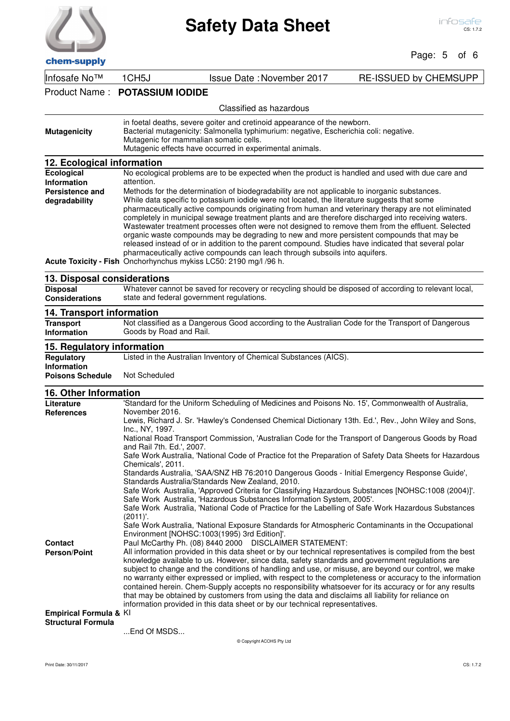

#### $P<sub>2</sub>Q<sub>2</sub>$ : 5  $\mathbf{f}$  6

| chem-supply                                                     |                                                                                                                                                                                                                                                                                                                                                                                                                                                                                                                                                                                                                                                                                                                                                                                           | Page: 5<br>οτ σ              |
|-----------------------------------------------------------------|-------------------------------------------------------------------------------------------------------------------------------------------------------------------------------------------------------------------------------------------------------------------------------------------------------------------------------------------------------------------------------------------------------------------------------------------------------------------------------------------------------------------------------------------------------------------------------------------------------------------------------------------------------------------------------------------------------------------------------------------------------------------------------------------|------------------------------|
| Infosafe No™                                                    | <b>Issue Date: November 2017</b><br>1CH <sub>5</sub> J                                                                                                                                                                                                                                                                                                                                                                                                                                                                                                                                                                                                                                                                                                                                    | <b>RE-ISSUED by CHEMSUPP</b> |
| Product Name:                                                   | <b>POTASSIUM IODIDE</b>                                                                                                                                                                                                                                                                                                                                                                                                                                                                                                                                                                                                                                                                                                                                                                   |                              |
|                                                                 | Classified as hazardous                                                                                                                                                                                                                                                                                                                                                                                                                                                                                                                                                                                                                                                                                                                                                                   |                              |
| <b>Mutagenicity</b>                                             | in foetal deaths, severe goiter and cretinoid appearance of the newborn.<br>Bacterial mutagenicity: Salmonella typhimurium: negative, Escherichia coli: negative.<br>Mutagenic for mammalian somatic cells.<br>Mutagenic effects have occurred in experimental animals.                                                                                                                                                                                                                                                                                                                                                                                                                                                                                                                   |                              |
| 12. Ecological information                                      |                                                                                                                                                                                                                                                                                                                                                                                                                                                                                                                                                                                                                                                                                                                                                                                           |                              |
| Ecological<br><b>Information</b>                                | No ecological problems are to be expected when the product is handled and used with due care and<br>attention.                                                                                                                                                                                                                                                                                                                                                                                                                                                                                                                                                                                                                                                                            |                              |
| Persistence and                                                 | Methods for the determination of biodegradability are not applicable to inorganic substances.                                                                                                                                                                                                                                                                                                                                                                                                                                                                                                                                                                                                                                                                                             |                              |
| degradability                                                   | While data specific to potassium iodide were not located, the literature suggests that some<br>pharmaceutically active compounds originating from human and veterinary therapy are not eliminated<br>completely in municipal sewage treatment plants and are therefore discharged into receiving waters.<br>Wastewater treatment processes often were not designed to remove them from the effluent. Selected<br>organic waste compounds may be degrading to new and more persistent compounds that may be<br>released instead of or in addition to the parent compound. Studies have indicated that several polar<br>pharmaceutically active compounds can leach through subsoils into aquifers.                                                                                         |                              |
|                                                                 | Acute Toxicity - Fish Onchorhynchus mykiss LC50: 2190 mg/l /96 h.                                                                                                                                                                                                                                                                                                                                                                                                                                                                                                                                                                                                                                                                                                                         |                              |
| 13. Disposal considerations                                     |                                                                                                                                                                                                                                                                                                                                                                                                                                                                                                                                                                                                                                                                                                                                                                                           |                              |
| <b>Disposal</b><br><b>Considerations</b>                        | Whatever cannot be saved for recovery or recycling should be disposed of according to relevant local,<br>state and federal government regulations.                                                                                                                                                                                                                                                                                                                                                                                                                                                                                                                                                                                                                                        |                              |
| 14. Transport information                                       |                                                                                                                                                                                                                                                                                                                                                                                                                                                                                                                                                                                                                                                                                                                                                                                           |                              |
| <b>Transport</b><br><b>Information</b>                          | Not classified as a Dangerous Good according to the Australian Code for the Transport of Dangerous<br>Goods by Road and Rail.                                                                                                                                                                                                                                                                                                                                                                                                                                                                                                                                                                                                                                                             |                              |
| 15. Regulatory information                                      |                                                                                                                                                                                                                                                                                                                                                                                                                                                                                                                                                                                                                                                                                                                                                                                           |                              |
| Regulatory<br><b>Information</b>                                | Listed in the Australian Inventory of Chemical Substances (AICS).                                                                                                                                                                                                                                                                                                                                                                                                                                                                                                                                                                                                                                                                                                                         |                              |
| <b>Poisons Schedule</b>                                         |                                                                                                                                                                                                                                                                                                                                                                                                                                                                                                                                                                                                                                                                                                                                                                                           |                              |
|                                                                 | Not Scheduled                                                                                                                                                                                                                                                                                                                                                                                                                                                                                                                                                                                                                                                                                                                                                                             |                              |
| 16. Other Information                                           |                                                                                                                                                                                                                                                                                                                                                                                                                                                                                                                                                                                                                                                                                                                                                                                           |                              |
| Literature                                                      | 'Standard for the Uniform Scheduling of Medicines and Poisons No. 15', Commonwealth of Australia,                                                                                                                                                                                                                                                                                                                                                                                                                                                                                                                                                                                                                                                                                         |                              |
| <b>References</b>                                               | November 2016.                                                                                                                                                                                                                                                                                                                                                                                                                                                                                                                                                                                                                                                                                                                                                                            |                              |
|                                                                 | Lewis, Richard J. Sr. 'Hawley's Condensed Chemical Dictionary 13th. Ed.', Rev., John Wiley and Sons,<br>Inc., NY, 1997.                                                                                                                                                                                                                                                                                                                                                                                                                                                                                                                                                                                                                                                                   |                              |
|                                                                 | National Road Transport Commission, 'Australian Code for the Transport of Dangerous Goods by Road<br>and Rail 7th. Ed.', 2007.                                                                                                                                                                                                                                                                                                                                                                                                                                                                                                                                                                                                                                                            |                              |
|                                                                 | Safe Work Australia, 'National Code of Practice fot the Preparation of Safety Data Sheets for Hazardous                                                                                                                                                                                                                                                                                                                                                                                                                                                                                                                                                                                                                                                                                   |                              |
|                                                                 | Chemicals', 2011.<br>Standards Australia, 'SAA/SNZ HB 76:2010 Dangerous Goods - Initial Emergency Response Guide',                                                                                                                                                                                                                                                                                                                                                                                                                                                                                                                                                                                                                                                                        |                              |
|                                                                 | Standards Australia/Standards New Zealand, 2010.<br>Safe Work Australia, 'Approved Criteria for Classifying Hazardous Substances [NOHSC:1008 (2004)]'.<br>Safe Work Australia, 'Hazardous Substances Information System, 2005'.<br>Safe Work Australia, 'National Code of Practice for the Labelling of Safe Work Hazardous Substances<br>$(2011)'$ .                                                                                                                                                                                                                                                                                                                                                                                                                                     |                              |
|                                                                 | Safe Work Australia, 'National Exposure Standards for Atmospheric Contaminants in the Occupational<br>Environment [NOHSC:1003(1995) 3rd Edition]'.                                                                                                                                                                                                                                                                                                                                                                                                                                                                                                                                                                                                                                        |                              |
| <b>Contact</b><br><b>Person/Point</b><br>Empirical Formula & KI | Paul McCarthy Ph. (08) 8440 2000 DISCLAIMER STATEMENT:<br>All information provided in this data sheet or by our technical representatives is compiled from the best<br>knowledge available to us. However, since data, safety standards and government regulations are<br>subject to change and the conditions of handling and use, or misuse, are beyond our control, we make<br>no warranty either expressed or implied, with respect to the completeness or accuracy to the information<br>contained herein. Chem-Supply accepts no responsibility whatsoever for its accuracy or for any results<br>that may be obtained by customers from using the data and disclaims all liability for reliance on<br>information provided in this data sheet or by our technical representatives. |                              |

...End Of MSDS...

© Copyright ACOHS Pty Ltd